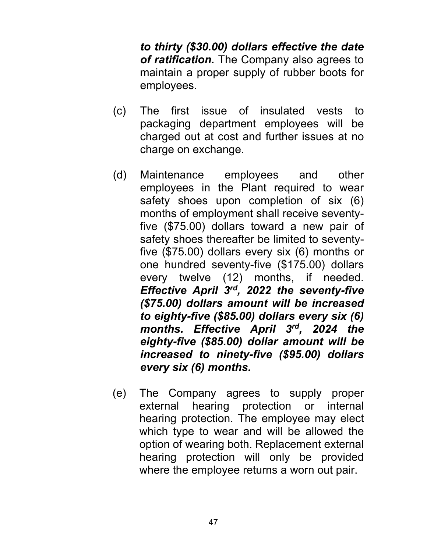*to thirty (\$30.00) dollars effective the date of ratification.* The Company also agrees to maintain a proper supply of rubber boots for employees.

- (c) The first issue of insulated vests to packaging department employees will be charged out at cost and further issues at no charge on exchange.
- (d) Maintenance employees and other employees in the Plant required to wear safety shoes upon completion of six (6) months of employment shall receive seventyfive (\$75.00) dollars toward a new pair of safety shoes thereafter be limited to seventyfive (\$75.00) dollars every six (6) months or one hundred seventy-five (\$175.00) dollars every twelve (12) months, if needed. *Effective April 3rd, 2022 the seventy-five (\$75.00) dollars amount will be increased to eighty-five (\$85.00) dollars every six (6) months. Effective April 3rd, 2024 the eighty-five (\$85.00) dollar amount will be increased to ninety-five (\$95.00) dollars every six (6) months.*
- (e) The Company agrees to supply proper external hearing protection or internal hearing protection. The employee may elect which type to wear and will be allowed the option of wearing both. Replacement external hearing protection will only be provided where the employee returns a worn out pair.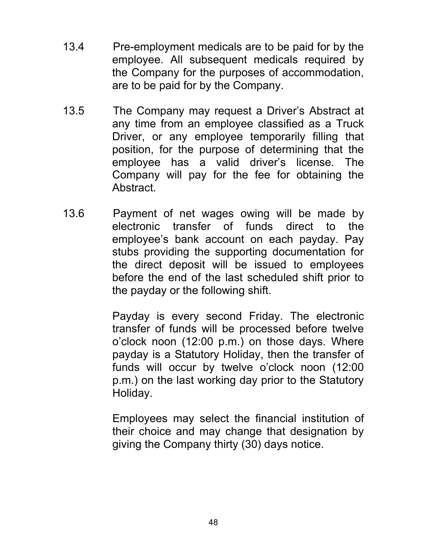- 13.4 Pre-employment medicals are to be paid for by the employee. All subsequent medicals required by the Company for the purposes of accommodation, are to be paid for by the Company.
- 13.5 The Company may request a Driver's Abstract at any time from an employee classified as a Truck Driver, or any employee temporarily filling that position, for the purpose of determining that the employee has a valid driver's license. The Company will pay for the fee for obtaining the Abstract.
- 13.6 Payment of net wages owing will be made by electronic transfer of funds direct to the employee's bank account on each payday. Pay stubs providing the supporting documentation for the direct deposit will be issued to employees before the end of the last scheduled shift prior to the payday or the following shift.

Payday is every second Friday. The electronic transfer of funds will be processed before twelve o'clock noon (12:00 p.m.) on those days. Where payday is a Statutory Holiday, then the transfer of funds will occur by twelve o'clock noon (12:00 p.m.) on the last working day prior to the Statutory Holiday.

Employees may select the financial institution of their choice and may change that designation by giving the Company thirty (30) days notice.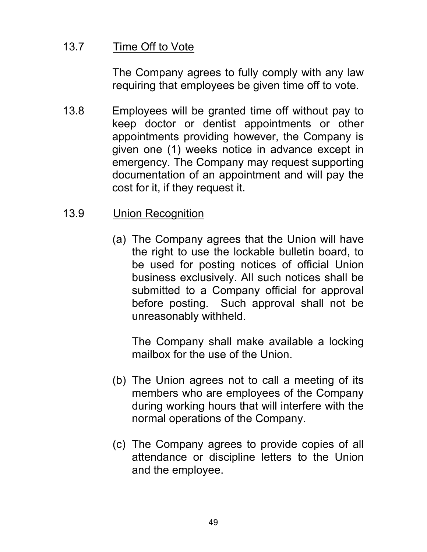# 13.7 Time Off to Vote

The Company agrees to fully comply with any law requiring that employees be given time off to vote.

13.8 Employees will be granted time off without pay to keep doctor or dentist appointments or other appointments providing however, the Company is given one (1) weeks notice in advance except in emergency. The Company may request supporting documentation of an appointment and will pay the cost for it, if they request it.

# 13.9 Union Recognition

(a) The Company agrees that the Union will have the right to use the lockable bulletin board, to be used for posting notices of official Union business exclusively. All such notices shall be submitted to a Company official for approval before posting. Such approval shall not be unreasonably withheld.

 The Company shall make available a locking mailbox for the use of the Union.

- (b) The Union agrees not to call a meeting of its members who are employees of the Company during working hours that will interfere with the normal operations of the Company.
- (c) The Company agrees to provide copies of all attendance or discipline letters to the Union and the employee.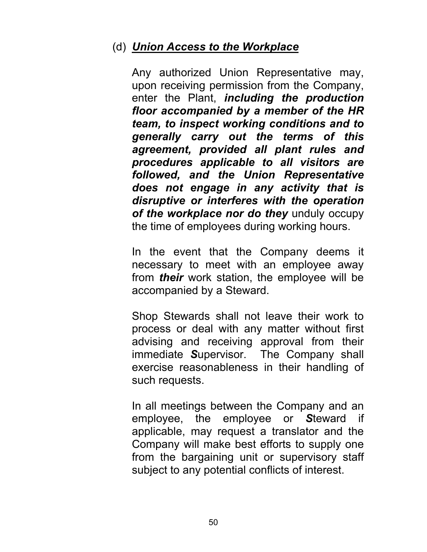# (d) *Union Access to the Workplace*

Any authorized Union Representative may, upon receiving permission from the Company, enter the Plant, *including the production floor accompanied by a member of the HR team, to inspect working conditions and to generally carry out the terms of this agreement, provided all plant rules and procedures applicable to all visitors are followed, and the Union Representative does not engage in any activity that is disruptive or interferes with the operation of the workplace nor do they* unduly occupy the time of employees during working hours.

In the event that the Company deems it necessary to meet with an employee away from *their* work station, the employee will be accompanied by a Steward.

Shop Stewards shall not leave their work to process or deal with any matter without first advising and receiving approval from their immediate *S*upervisor. The Company shall exercise reasonableness in their handling of such requests.

In all meetings between the Company and an employee, the employee or *S*teward if applicable, may request a translator and the Company will make best efforts to supply one from the bargaining unit or supervisory staff subject to any potential conflicts of interest.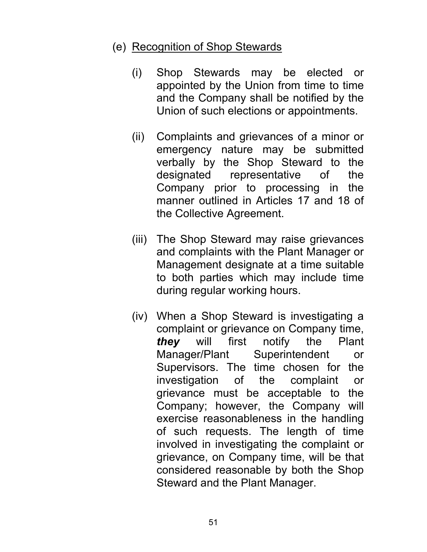# (e) Recognition of Shop Stewards

- (i) Shop Stewards may be elected or appointed by the Union from time to time and the Company shall be notified by the Union of such elections or appointments.
- (ii) Complaints and grievances of a minor or emergency nature may be submitted verbally by the Shop Steward to the designated representative of the Company prior to processing in the manner outlined in Articles 17 and 18 of the Collective Agreement.
- (iii) The Shop Steward may raise grievances and complaints with the Plant Manager or Management designate at a time suitable to both parties which may include time during regular working hours.
- (iv) When a Shop Steward is investigating a complaint or grievance on Company time, *they* will first notify the Plant Manager/Plant Superintendent or Supervisors. The time chosen for the investigation of the complaint or grievance must be acceptable to the Company; however, the Company will exercise reasonableness in the handling of such requests. The length of time involved in investigating the complaint or grievance, on Company time, will be that considered reasonable by both the Shop Steward and the Plant Manager.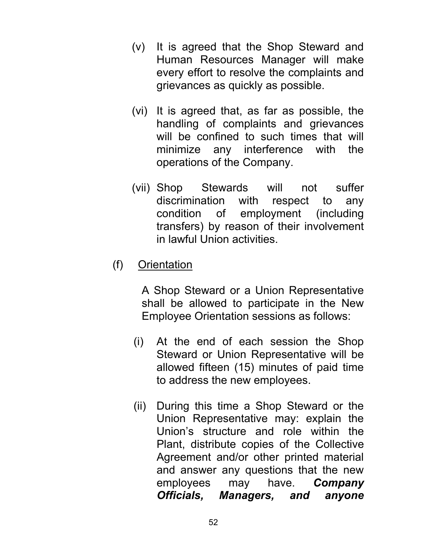- (v) It is agreed that the Shop Steward and Human Resources Manager will make every effort to resolve the complaints and grievances as quickly as possible.
- (vi) It is agreed that, as far as possible, the handling of complaints and grievances will be confined to such times that will minimize any interference with the operations of the Company.
- (vii) Shop Stewards will not suffer discrimination with respect to any condition of employment (including transfers) by reason of their involvement in lawful Union activities.
- (f) Orientation

A Shop Steward or a Union Representative shall be allowed to participate in the New Employee Orientation sessions as follows:

- (i) At the end of each session the Shop Steward or Union Representative will be allowed fifteen (15) minutes of paid time to address the new employees.
- (ii) During this time a Shop Steward or the Union Representative may: explain the Union's structure and role within the Plant, distribute copies of the Collective Agreement and/or other printed material and answer any questions that the new employees may have. *Company Officials, Managers, and anyone*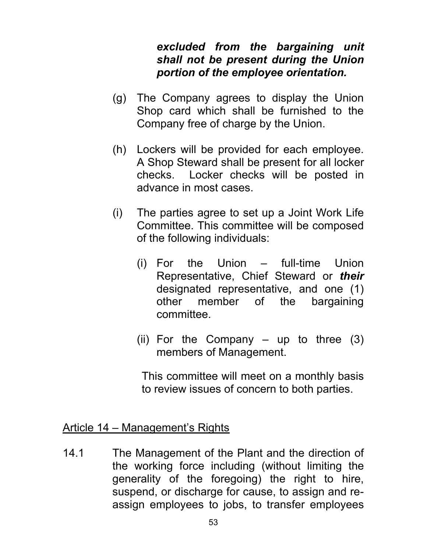## *excluded from the bargaining unit shall not be present during the Union portion of the employee orientation.*

- (g) The Company agrees to display the Union Shop card which shall be furnished to the Company free of charge by the Union.
- (h) Lockers will be provided for each employee. A Shop Steward shall be present for all locker checks. Locker checks will be posted in advance in most cases.
- (i) The parties agree to set up a Joint Work Life Committee. This committee will be composed of the following individuals:
	- (i) For the Union full-time Union Representative, Chief Steward or *their* designated representative, and one (1) other member of the bargaining committee.
	- (ii) For the Company  $-$  up to three (3) members of Management.

 This committee will meet on a monthly basis to review issues of concern to both parties.

#### Article 14 – Management's Rights

14.1 The Management of the Plant and the direction of the working force including (without limiting the generality of the foregoing) the right to hire, suspend, or discharge for cause, to assign and reassign employees to jobs, to transfer employees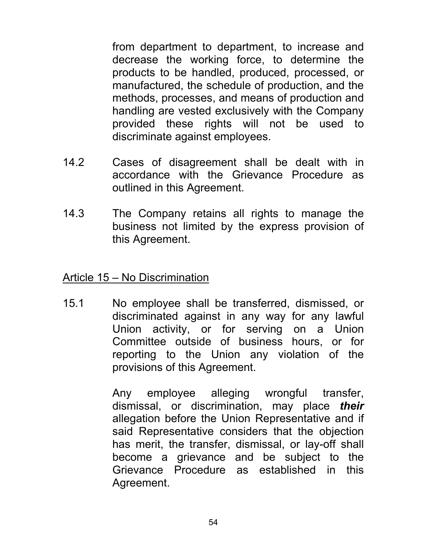from department to department, to increase and decrease the working force, to determine the products to be handled, produced, processed, or manufactured, the schedule of production, and the methods, processes, and means of production and handling are vested exclusively with the Company provided these rights will not be used to discriminate against employees.

- 14.2 Cases of disagreement shall be dealt with in accordance with the Grievance Procedure as outlined in this Agreement.
- 14.3 The Company retains all rights to manage the business not limited by the express provision of this Agreement.

Article 15 – No Discrimination

15.1 No employee shall be transferred, dismissed, or discriminated against in any way for any lawful Union activity, or for serving on a Union Committee outside of business hours, or for reporting to the Union any violation of the provisions of this Agreement.

> Any employee alleging wrongful transfer, dismissal, or discrimination, may place *their* allegation before the Union Representative and if said Representative considers that the objection has merit, the transfer, dismissal, or lay-off shall become a grievance and be subject to the Grievance Procedure as established in this Agreement.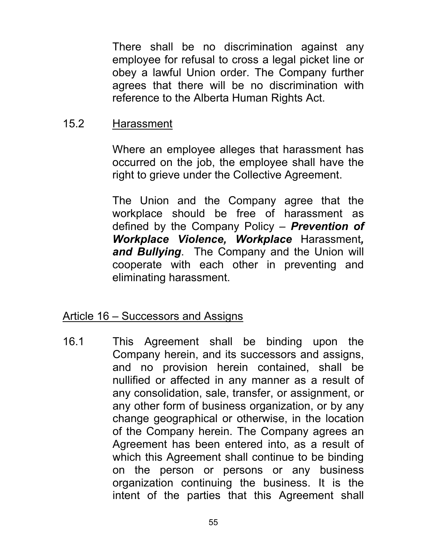There shall be no discrimination against any employee for refusal to cross a legal picket line or obey a lawful Union order. The Company further agrees that there will be no discrimination with reference to the Alberta Human Rights Act.

#### 15.2 Harassment

Where an employee alleges that harassment has occurred on the job, the employee shall have the right to grieve under the Collective Agreement.

The Union and the Company agree that the workplace should be free of harassment as defined by the Company Policy – *Prevention of Workplace Violence, Workplace* Harassment*, and Bullying*. The Company and the Union will cooperate with each other in preventing and eliminating harassment.

#### Article 16 – Successors and Assigns

16.1 This Agreement shall be binding upon the Company herein, and its successors and assigns, and no provision herein contained, shall be nullified or affected in any manner as a result of any consolidation, sale, transfer, or assignment, or any other form of business organization, or by any change geographical or otherwise, in the location of the Company herein. The Company agrees an Agreement has been entered into, as a result of which this Agreement shall continue to be binding on the person or persons or any business organization continuing the business. It is the intent of the parties that this Agreement shall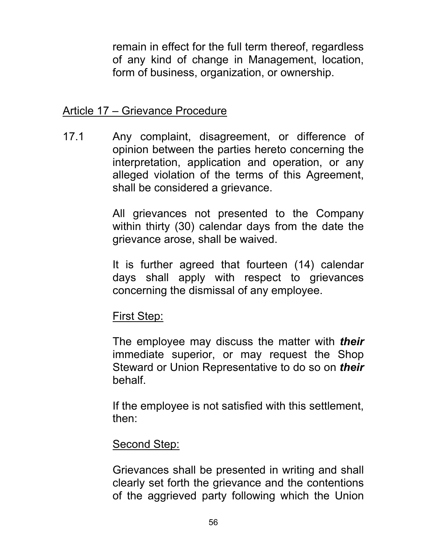remain in effect for the full term thereof, regardless of any kind of change in Management, location, form of business, organization, or ownership.

#### Article 17 – Grievance Procedure

17.1 Any complaint, disagreement, or difference of opinion between the parties hereto concerning the interpretation, application and operation, or any alleged violation of the terms of this Agreement, shall be considered a grievance.

> All grievances not presented to the Company within thirty (30) calendar days from the date the grievance arose, shall be waived.

> It is further agreed that fourteen (14) calendar days shall apply with respect to grievances concerning the dismissal of any employee.

# First Step:

The employee may discuss the matter with *their*  immediate superior, or may request the Shop Steward or Union Representative to do so on *their*  behalf.

 If the employee is not satisfied with this settlement, then:

#### Second Step:

Grievances shall be presented in writing and shall clearly set forth the grievance and the contentions of the aggrieved party following which the Union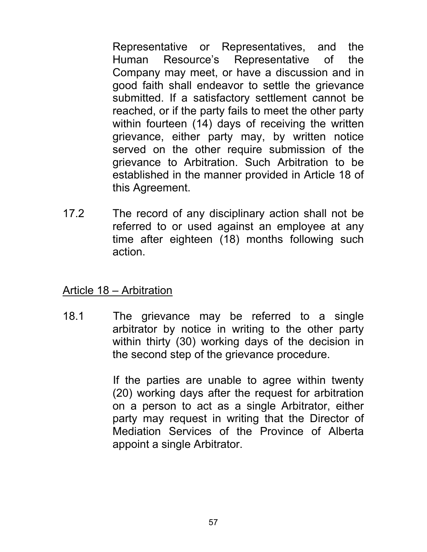Representative or Representatives, and the Human Resource's Representative of the Company may meet, or have a discussion and in good faith shall endeavor to settle the grievance submitted. If a satisfactory settlement cannot be reached, or if the party fails to meet the other party within fourteen (14) days of receiving the written grievance, either party may, by written notice served on the other require submission of the grievance to Arbitration. Such Arbitration to be established in the manner provided in Article 18 of this Agreement.

17.2 The record of any disciplinary action shall not be referred to or used against an employee at any time after eighteen (18) months following such action.

#### Article 18 – Arbitration

18.1 The grievance may be referred to a single arbitrator by notice in writing to the other party within thirty (30) working days of the decision in the second step of the grievance procedure.

> If the parties are unable to agree within twenty (20) working days after the request for arbitration on a person to act as a single Arbitrator, either party may request in writing that the Director of Mediation Services of the Province of Alberta appoint a single Arbitrator.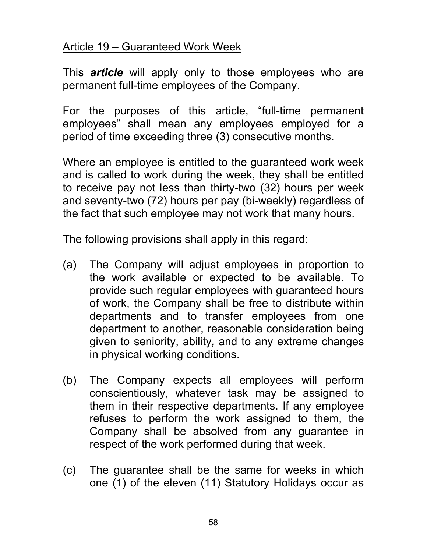# Article 19 – Guaranteed Work Week

This *article* will apply only to those employees who are permanent full-time employees of the Company.

For the purposes of this article, "full-time permanent employees" shall mean any employees employed for a period of time exceeding three (3) consecutive months.

Where an employee is entitled to the guaranteed work week and is called to work during the week, they shall be entitled to receive pay not less than thirty-two (32) hours per week and seventy-two (72) hours per pay (bi-weekly) regardless of the fact that such employee may not work that many hours.

The following provisions shall apply in this regard:

- (a) The Company will adjust employees in proportion to the work available or expected to be available. To provide such regular employees with guaranteed hours of work, the Company shall be free to distribute within departments and to transfer employees from one department to another, reasonable consideration being given to seniority, ability*,* and to any extreme changes in physical working conditions.
- (b) The Company expects all employees will perform conscientiously, whatever task may be assigned to them in their respective departments. If any employee refuses to perform the work assigned to them, the Company shall be absolved from any guarantee in respect of the work performed during that week.
- (c) The guarantee shall be the same for weeks in which one (1) of the eleven (11) Statutory Holidays occur as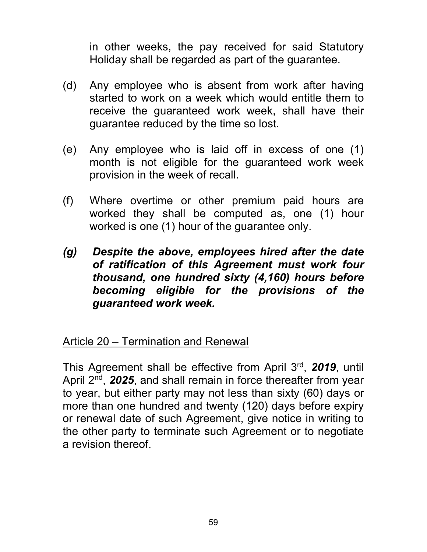in other weeks, the pay received for said Statutory Holiday shall be regarded as part of the guarantee.

- (d) Any employee who is absent from work after having started to work on a week which would entitle them to receive the guaranteed work week, shall have their guarantee reduced by the time so lost.
- (e) Any employee who is laid off in excess of one (1) month is not eligible for the guaranteed work week provision in the week of recall.
- (f) Where overtime or other premium paid hours are worked they shall be computed as, one (1) hour worked is one (1) hour of the guarantee only.
- *(g) Despite the above, employees hired after the date of ratification of this Agreement must work four thousand, one hundred sixty (4,160) hours before becoming eligible for the provisions of the guaranteed work week.*

# Article 20 – Termination and Renewal

This Agreement shall be effective from April 3rd, *2019*, until April 2<sup>nd</sup>, 2025, and shall remain in force thereafter from year to year, but either party may not less than sixty (60) days or more than one hundred and twenty (120) days before expiry or renewal date of such Agreement, give notice in writing to the other party to terminate such Agreement or to negotiate a revision thereof.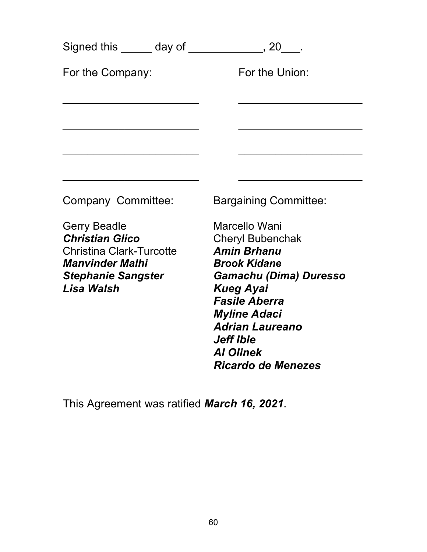|                                                                                                                                                       |  | Signed this ______ day of _____________, 20___.                                                                                                                                                                                                                                   |
|-------------------------------------------------------------------------------------------------------------------------------------------------------|--|-----------------------------------------------------------------------------------------------------------------------------------------------------------------------------------------------------------------------------------------------------------------------------------|
| For the Company:                                                                                                                                      |  | For the Union:                                                                                                                                                                                                                                                                    |
|                                                                                                                                                       |  |                                                                                                                                                                                                                                                                                   |
|                                                                                                                                                       |  |                                                                                                                                                                                                                                                                                   |
| Company Committee:                                                                                                                                    |  | <b>Bargaining Committee:</b>                                                                                                                                                                                                                                                      |
| <b>Gerry Beadle</b><br><b>Christian Glico</b><br><b>Christina Clark-Turcotte</b><br><b>Manvinder Malhi</b><br><b>Stephanie Sangster</b><br>Lisa Walsh |  | Marcello Wani<br><b>Cheryl Bubenchak</b><br><b>Amin Brhanu</b><br><b>Brook Kidane</b><br>Gamachu (Dima) Duresso<br><b>Kueg Ayai</b><br><b>Fasile Aberra</b><br><b>Myline Adaci</b><br><b>Adrian Laureano</b><br><b>Jeff Ible</b><br><b>AI Olinek</b><br><b>Ricardo de Menezes</b> |
|                                                                                                                                                       |  |                                                                                                                                                                                                                                                                                   |

This Agreement was ratified *March 16, 2021*.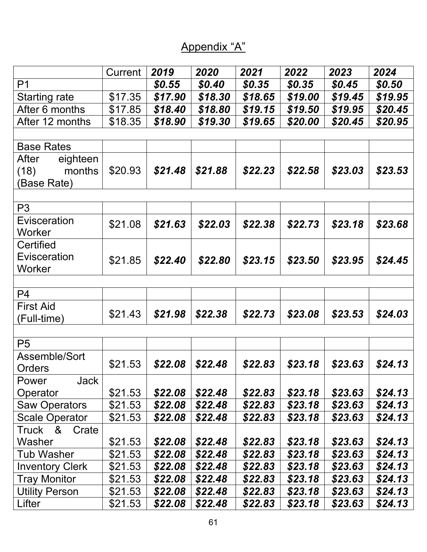# Appendix "A"

|                                                    | Current | 2019    | 2020    | 2021    | 2022    | 2023    | 2024    |
|----------------------------------------------------|---------|---------|---------|---------|---------|---------|---------|
| P <sub>1</sub>                                     |         | \$0.55  | \$0.40  | \$0.35  | \$0.35  | \$0.45  | \$0.50  |
| <b>Starting rate</b>                               | \$17.35 | \$17.90 | \$18.30 | \$18.65 | \$19.00 | \$19.45 | \$19.95 |
| After 6 months                                     | \$17.85 | \$18.40 | \$18.80 | \$19.15 | \$19.50 | \$19.95 | \$20.45 |
| After 12 months                                    | \$18.35 | \$18.90 | \$19.30 | \$19.65 | \$20.00 | \$20.45 | \$20.95 |
|                                                    |         |         |         |         |         |         |         |
| <b>Base Rates</b>                                  |         |         |         |         |         |         |         |
| After<br>eighteen<br>months<br>(18)<br>(Base Rate) | \$20.93 | \$21.48 | \$21.88 | \$22.23 | \$22.58 | \$23.03 | \$23.53 |
|                                                    |         |         |         |         |         |         |         |
| P <sub>3</sub>                                     |         |         |         |         |         |         |         |
| Evisceration<br>Worker                             | \$21.08 | \$21.63 | \$22.03 | \$22.38 | \$22.73 | \$23.18 | \$23.68 |
| Certified                                          |         |         |         |         |         |         |         |
| Evisceration<br>Worker                             | \$21.85 | \$22.40 | \$22.80 | \$23.15 | \$23.50 | \$23.95 | \$24.45 |
|                                                    |         |         |         |         |         |         |         |
| P <sub>4</sub>                                     |         |         |         |         |         |         |         |
| <b>First Aid</b><br>(Full-time)                    | \$21.43 | \$21.98 | \$22.38 | \$22.73 | \$23.08 | \$23.53 | \$24.03 |
|                                                    |         |         |         |         |         |         |         |
| P <sub>5</sub>                                     |         |         |         |         |         |         |         |
| Assemble/Sort<br>Orders                            | \$21.53 | \$22.08 | \$22.48 | \$22.83 | \$23.18 | \$23.63 | \$24.13 |
| Jack<br>Power                                      |         |         |         |         |         |         |         |
| Operator                                           | \$21.53 | \$22.08 | \$22.48 | \$22.83 | \$23.18 | \$23.63 | \$24.13 |
| <b>Saw Operators</b>                               | \$21.53 | \$22.08 | \$22.48 | \$22.83 | \$23.18 | \$23.63 | \$24.13 |
| <b>Scale Operator</b>                              | \$21.53 | \$22.08 | \$22.48 | \$22.83 | \$23.18 | \$23.63 | \$24.13 |
| Truck &<br>Crate                                   |         |         |         |         |         |         |         |
| Washer                                             | \$21.53 | \$22.08 | \$22.48 | \$22.83 | \$23.18 | \$23.63 | \$24.13 |
| <b>Tub Washer</b>                                  | \$21.53 | \$22.08 | \$22.48 | \$22.83 | \$23.18 | \$23.63 | \$24.13 |
| <b>Inventory Clerk</b>                             | \$21.53 | \$22.08 | \$22.48 | \$22.83 | \$23.18 | \$23.63 | \$24.13 |
| <b>Tray Monitor</b>                                | \$21.53 | \$22.08 | \$22.48 | \$22.83 | \$23.18 | \$23.63 | \$24.13 |
| <b>Utility Person</b>                              | \$21.53 | \$22.08 | \$22.48 | \$22.83 | \$23.18 | \$23.63 | \$24.13 |
| Lifter                                             | \$21.53 | \$22.08 | \$22.48 | \$22.83 | \$23.18 | \$23.63 | \$24.13 |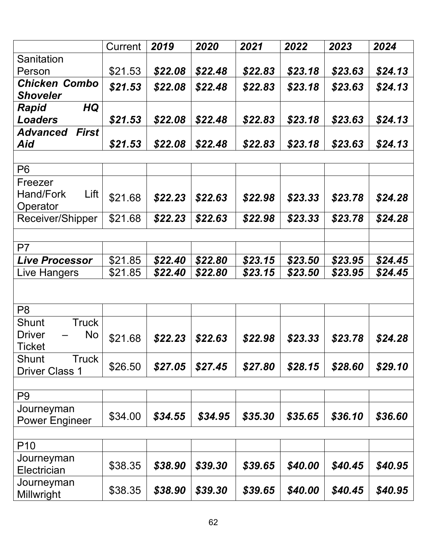|                                 | Current | 2019    | 2020    | 2021    | 2022    | 2023    | 2024    |
|---------------------------------|---------|---------|---------|---------|---------|---------|---------|
| Sanitation                      |         |         |         |         |         |         |         |
| Person                          | \$21.53 | \$22.08 | \$22.48 | \$22.83 | \$23.18 | \$23.63 | \$24.13 |
| <b>Chicken Combo</b>            | \$21.53 | \$22.08 | \$22.48 | \$22.83 | \$23.18 | \$23.63 | \$24.13 |
| <b>Shoveler</b>                 |         |         |         |         |         |         |         |
| HQ<br>Rapid                     |         |         |         |         |         |         |         |
| <b>Loaders</b>                  | \$21.53 | \$22.08 | \$22.48 | \$22.83 | \$23.18 | \$23.63 | \$24.13 |
| <b>First</b><br><b>Advanced</b> |         |         |         |         |         |         |         |
| Aid                             | \$21.53 | \$22.08 | \$22.48 | \$22.83 | \$23.18 | \$23.63 | \$24.13 |
|                                 |         |         |         |         |         |         |         |
| P <sub>6</sub>                  |         |         |         |         |         |         |         |
| Freezer                         |         |         |         |         |         |         |         |
| Lift<br>Hand/Fork               | \$21.68 | \$22.23 | \$22.63 | \$22.98 | \$23.33 | \$23.78 | \$24.28 |
| Operator                        |         |         |         |         |         |         |         |
| Receiver/Shipper                | \$21.68 | \$22.23 | \$22.63 | \$22.98 | \$23.33 | \$23.78 | \$24.28 |
|                                 |         |         |         |         |         |         |         |
| P <sub>7</sub>                  |         |         |         |         |         |         |         |
| <b>Live Processor</b>           | \$21.85 | \$22.40 | \$22.80 | \$23.15 | \$23.50 | \$23.95 | \$24.45 |
| <b>Live Hangers</b>             | \$21.85 | \$22.40 | \$22.80 | \$23.15 | \$23.50 | \$23.95 | \$24.45 |
|                                 |         |         |         |         |         |         |         |
|                                 |         |         |         |         |         |         |         |
| P <sub>8</sub>                  |         |         |         |         |         |         |         |
| <b>Shunt</b><br><b>Truck</b>    |         |         |         |         |         |         |         |
| No<br><b>Driver</b>             | \$21.68 | \$22.23 | \$22.63 | \$22.98 | \$23.33 | \$23.78 | \$24.28 |
| <b>Ticket</b>                   |         |         |         |         |         |         |         |
| <b>Shunt</b><br>Truck           |         | \$27.05 | \$27.45 | \$27.80 | \$28.15 | \$28.60 |         |
| <b>Driver Class 1</b>           | \$26.50 |         |         |         |         |         | \$29.10 |
|                                 |         |         |         |         |         |         |         |
| P <sub>9</sub>                  |         |         |         |         |         |         |         |
| Journeyman                      | \$34.00 | \$34.55 | \$34.95 | \$35.30 | \$35.65 | \$36.10 | \$36.60 |
| <b>Power Engineer</b>           |         |         |         |         |         |         |         |
|                                 |         |         |         |         |         |         |         |
| P <sub>10</sub>                 |         |         |         |         |         |         |         |
| Journeyman                      | \$38.35 | \$38.90 | \$39.30 | \$39.65 | \$40.00 | \$40.45 | \$40.95 |
| Electrician                     |         |         |         |         |         |         |         |
| Journeyman                      | \$38.35 | \$38.90 | \$39.30 | \$39.65 | \$40.00 | \$40.45 | \$40.95 |
| Millwright                      |         |         |         |         |         |         |         |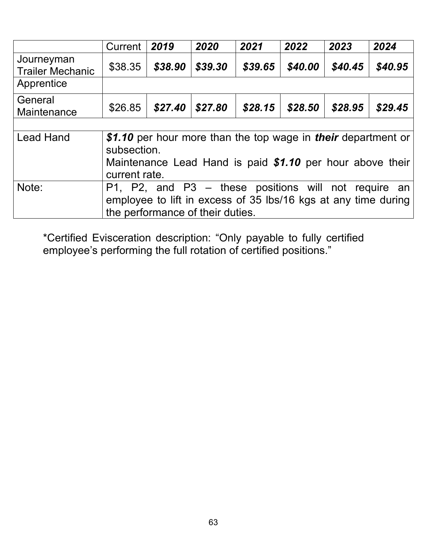|                                       | Current                                                                                                                                                    | 2019    | 2020                             | 2021                                                                                                                           | 2022    | 2023    | 2024    |
|---------------------------------------|------------------------------------------------------------------------------------------------------------------------------------------------------------|---------|----------------------------------|--------------------------------------------------------------------------------------------------------------------------------|---------|---------|---------|
| Journeyman<br><b>Trailer Mechanic</b> | \$38.35                                                                                                                                                    | \$38.90 | \$39.30                          | \$39.65                                                                                                                        | \$40.00 | \$40.45 | \$40.95 |
| Apprentice                            |                                                                                                                                                            |         |                                  |                                                                                                                                |         |         |         |
| General<br>Maintenance                | \$26.85                                                                                                                                                    | \$27.40 | \$27.80                          | \$28.15                                                                                                                        | \$28.50 | \$28.95 | \$29.45 |
|                                       |                                                                                                                                                            |         |                                  |                                                                                                                                |         |         |         |
| <b>Lead Hand</b>                      | \$1.10 per hour more than the top wage in their department or<br>subsection.<br>Maintenance Lead Hand is paid \$1.10 per hour above their<br>current rate. |         |                                  |                                                                                                                                |         |         |         |
| Note:                                 |                                                                                                                                                            |         | the performance of their duties. | $P1$ , $P2$ , and $P3$ – these positions will not require an<br>employee to lift in excess of 35 lbs/16 kgs at any time during |         |         |         |

\*Certified Evisceration description: "Only payable to fully certified employee's performing the full rotation of certified positions."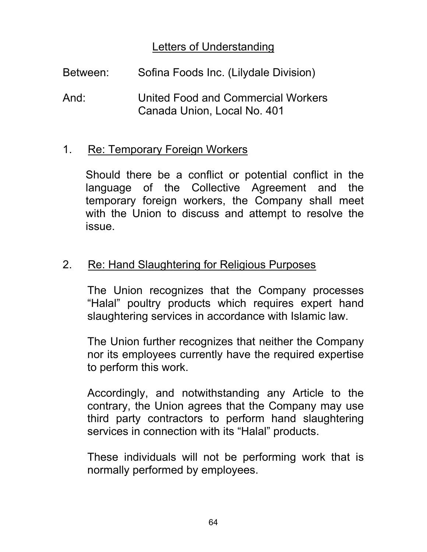### Letters of Understanding

| Between: | Sofina Foods Inc. (Lilydale Division)                             |
|----------|-------------------------------------------------------------------|
| And:     | United Food and Commercial Workers<br>Canada Union, Local No. 401 |

#### 1. Re: Temporary Foreign Workers

Should there be a conflict or potential conflict in the language of the Collective Agreement and the temporary foreign workers, the Company shall meet with the Union to discuss and attempt to resolve the issue.

#### 2. Re: Hand Slaughtering for Religious Purposes

The Union recognizes that the Company processes "Halal" poultry products which requires expert hand slaughtering services in accordance with Islamic law.

The Union further recognizes that neither the Company nor its employees currently have the required expertise to perform this work.

Accordingly, and notwithstanding any Article to the contrary, the Union agrees that the Company may use third party contractors to perform hand slaughtering services in connection with its "Halal" products.

These individuals will not be performing work that is normally performed by employees.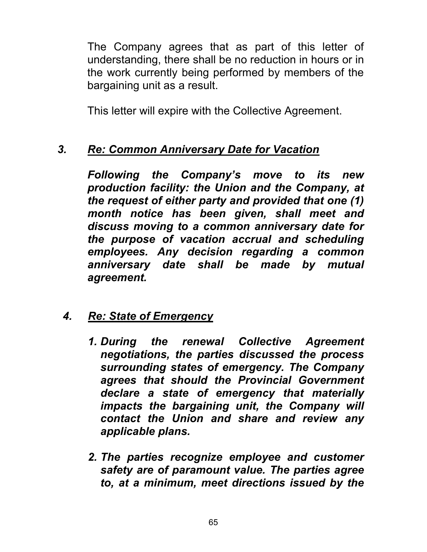The Company agrees that as part of this letter of understanding, there shall be no reduction in hours or in the work currently being performed by members of the bargaining unit as a result.

This letter will expire with the Collective Agreement.

# *3. Re: Common Anniversary Date for Vacation*

*Following the Company's move to its new production facility: the Union and the Company, at the request of either party and provided that one (1) month notice has been given, shall meet and discuss moving to a common anniversary date for the purpose of vacation accrual and scheduling employees. Any decision regarding a common anniversary date shall be made by mutual agreement.* 

# *4. Re: State of Emergency*

- *1. During the renewal Collective Agreement negotiations, the parties discussed the process surrounding states of emergency. The Company agrees that should the Provincial Government declare a state of emergency that materially impacts the bargaining unit, the Company will contact the Union and share and review any applicable plans.*
- *2. The parties recognize employee and customer safety are of paramount value. The parties agree to, at a minimum, meet directions issued by the*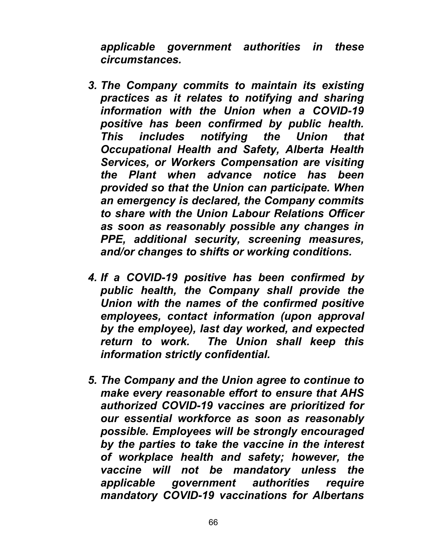*applicable government authorities in these circumstances.* 

- *3. The Company commits to maintain its existing practices as it relates to notifying and sharing information with the Union when a COVID-19 positive has been confirmed by public health. This includes notifying the Union that Occupational Health and Safety, Alberta Health Services, or Workers Compensation are visiting the Plant when advance notice has been provided so that the Union can participate. When an emergency is declared, the Company commits to share with the Union Labour Relations Officer as soon as reasonably possible any changes in PPE, additional security, screening measures, and/or changes to shifts or working conditions.*
- *4. If a COVID-19 positive has been confirmed by public health, the Company shall provide the Union with the names of the confirmed positive employees, contact information (upon approval by the employee), last day worked, and expected return to work. The Union shall keep this information strictly confidential.*
- *5. The Company and the Union agree to continue to make every reasonable effort to ensure that AHS authorized COVID-19 vaccines are prioritized for our essential workforce as soon as reasonably possible. Employees will be strongly encouraged by the parties to take the vaccine in the interest of workplace health and safety; however, the vaccine will not be mandatory unless the applicable government authorities require mandatory COVID-19 vaccinations for Albertans*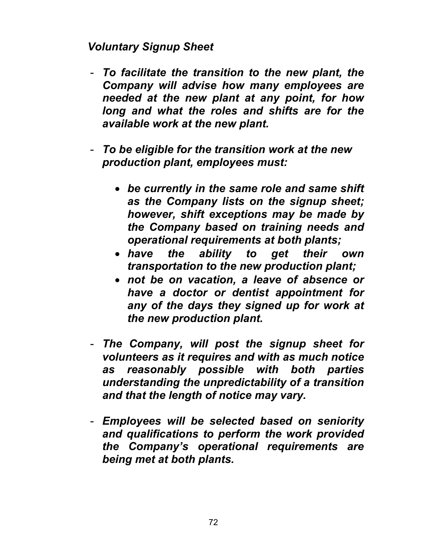## *Voluntary Signup Sheet*

- *To facilitate the transition to the new plant, the Company will advise how many employees are needed at the new plant at any point, for how long and what the roles and shifts are for the available work at the new plant.*
- *To be eligible for the transition work at the new production plant, employees must:*
	- *be currently in the same role and same shift as the Company lists on the signup sheet; however, shift exceptions may be made by the Company based on training needs and operational requirements at both plants;*
	- *have the ability to get their own transportation to the new production plant;*
	- *not be on vacation, a leave of absence or have a doctor or dentist appointment for any of the days they signed up for work at the new production plant.*
- *The Company, will post the signup sheet for volunteers as it requires and with as much notice as reasonably possible with both parties understanding the unpredictability of a transition and that the length of notice may vary.*
- *Employees will be selected based on seniority and qualifications to perform the work provided the Company's operational requirements are being met at both plants.*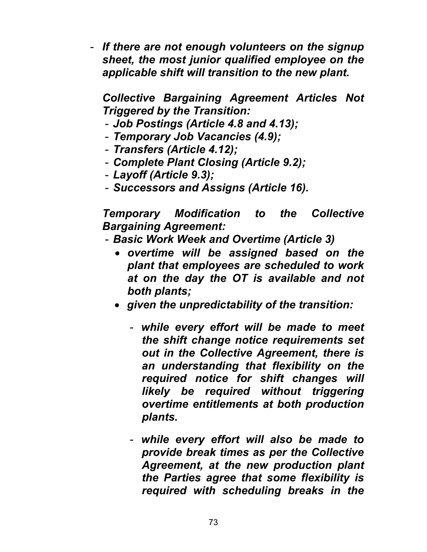- *If there are not enough volunteers on the signup sheet, the most junior qualified employee on the applicable shift will transition to the new plant.* 

*Collective Bargaining Agreement Articles Not Triggered by the Transition:* 

- *Job Postings (Article 4.8 and 4.13);*
- *Temporary Job Vacancies (4.9);*
- *Transfers (Article 4.12);*
- *Complete Plant Closing (Article 9.2);*
- *Layoff (Article 9.3);*
- *Successors and Assigns (Article 16).*

*Temporary Modification to the Collective Bargaining Agreement:* 

- *Basic Work Week and Overtime (Article 3)* 
	- *overtime will be assigned based on the plant that employees are scheduled to work at on the day the OT is available and not both plants;*
	- *given the unpredictability of the transition:* 
		- *while every effort will be made to meet the shift change notice requirements set out in the Collective Agreement, there is an understanding that flexibility on the required notice for shift changes will likely be required without triggering overtime entitlements at both production plants.*
		- *while every effort will also be made to provide break times as per the Collective Agreement, at the new production plant the Parties agree that some flexibility is required with scheduling breaks in the*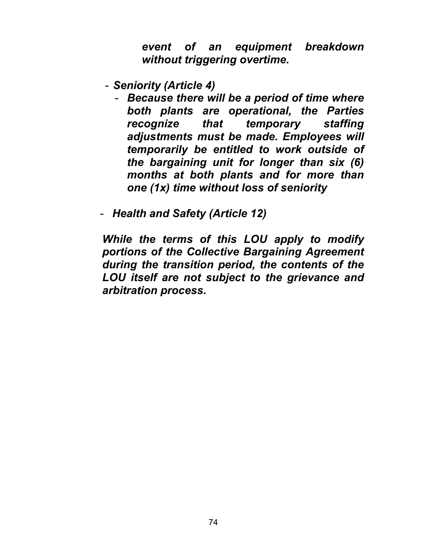*event of an equipment breakdown without triggering overtime.* 

- *Seniority (Article 4)* 
	- *Because there will be a period of time where both plants are operational, the Parties recognize that temporary staffing adjustments must be made. Employees will temporarily be entitled to work outside of the bargaining unit for longer than six (6) months at both plants and for more than one (1x) time without loss of seniority*
- *Health and Safety (Article 12)*

*While the terms of this LOU apply to modify portions of the Collective Bargaining Agreement during the transition period, the contents of the LOU itself are not subject to the grievance and arbitration process.*